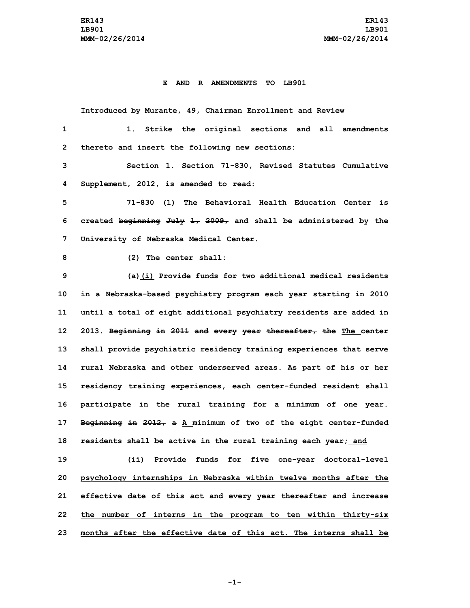## **E AND R AMENDMENTS TO LB901**

**Introduced by Murante, 49, Chairman Enrollment and Review**

| 1              | Strike the original sections and all amendments                     |
|----------------|---------------------------------------------------------------------|
| $\overline{2}$ | thereto and insert the following new sections:                      |
| 3              | Section 1. Section 71-830, Revised Statutes Cumulative              |
| 4              | Supplement, 2012, is amended to read:                               |
| 5              | 71-830 (1) The Behavioral Health Education Center is                |
| 6              | created beginning $J^2 + 2009$ , and shall be administered by the   |
| 7              | University of Nebraska Medical Center.                              |
| 8              | (2) The center shall:                                               |
| 9              | (a) (i) Provide funds for two additional medical residents          |
| 10             | in a Nebraska-based psychiatry program each year starting in 2010   |
| 11             | until a total of eight additional psychiatry residents are added in |
| 12             | 2013. Beginning in 2011 and every year thereafter, the The center   |
| 13             | shall provide psychiatric residency training experiences that serve |
| 14             | rural Nebraska and other underserved areas. As part of his or her   |
| 15             | residency training experiences, each center-funded resident shall   |
| 16             | participate in the rural training for a minimum of one year.        |
| 17             | Beginning in 2012, a A minimum of two of the eight center-funded    |
| 18             | residents shall be active in the rural training each year; and      |
| 19             | (ii) Provide funds for five one-year doctoral-level                 |
| 20             | psychology internships in Nebraska within twelve months after the   |
| 21             | effective date of this act and every year thereafter and increase   |
| 22             | the number of interns in the program to ten within thirty-six       |
| 23             | months after the effective date of this act. The interns shall be   |

**-1-**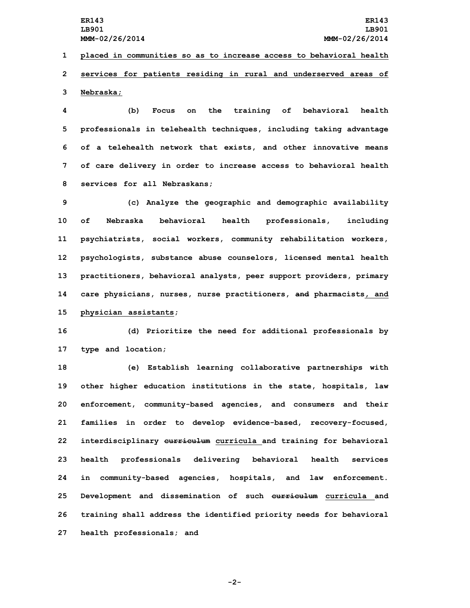**1 placed in communities so as to increase access to behavioral health 2 services for patients residing in rural and underserved areas of 3 Nebraska;**

 **(b) Focus on the training of behavioral health professionals in telehealth techniques, including taking advantage of <sup>a</sup> telehealth network that exists, and other innovative means of care delivery in order to increase access to behavioral health services for all Nebraskans;**

 **(c) Analyze the geographic and demographic availability of Nebraska behavioral health professionals, including psychiatrists, social workers, community rehabilitation workers, psychologists, substance abuse counselors, licensed mental health practitioners, behavioral analysts, peer support providers, primary care physicians, nurses, nurse practitioners, and pharmacists, and physician assistants;**

**16 (d) Prioritize the need for additional professionals by 17 type and location;**

 **(e) Establish learning collaborative partnerships with other higher education institutions in the state, hospitals, law enforcement, community-based agencies, and consumers and their families in order to develop evidence-based, recovery-focused, interdisciplinary curriculum curricula and training for behavioral health professionals delivering behavioral health services in community-based agencies, hospitals, and law enforcement. Development and dissemination of such curriculum curricula and training shall address the identified priority needs for behavioral health professionals; and**

**-2-**